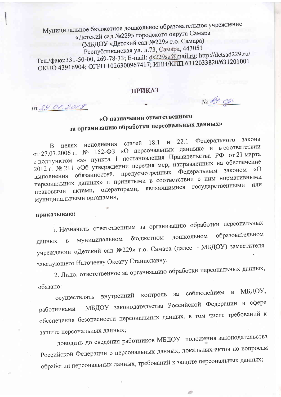Муниципальное бюджетное дошкольное образовательное учреждение «Детский сад №229» городского округа Самара (МБДОУ «Детский сад №229» г.о. Самара) Республиканская ул. д. 73, Самара, 443051 Тел./факс:331-50-00, 269-78-33; E-mail: ds229sa@mail.ru: http://detsad229.ru/ ОКПО 43916904; ОГРН 1026300967417; ИНН/КПП 6312033820/631201001

## **ПРИКАЗ**

No 13-09

OT 29. 01.2019

## «О назначении ответственного за организацию обработки персональных данных»

Федерального закона В целях исполнения статей 18.1  $\mu$  22.1 от 27.07.2006 г. № 152-ФЗ «О персональных данных» и в соответствии с подпунктом «а» пункта 1 постановления Правительства РФ от 21 марта 2012 г. № 211 «Об утверждении перечня мер, направленных на обеспечение выполнения обязанностей, предусмотренных Федеральным законом «О персональных данных» и принятыми в соответствии с ним нормативными операторами, являющимися государственными или правовыми актами, муниципальными органами»,

## приказываю:

1. Назначить ответственным за организацию обработки персональных образовательном дошкольном бюджетном муниципальном данных  $\overline{B}$ учреждении «Детский сад №229» г.о. Самара (далее - МБДОУ) заместителя заведующего Наточееву Оксану Станиславну.

2. Лицо, ответственное за организацию обработки персональных данных, обязано:

осуществлять внутренний контроль за соблюдением в МБДОУ, МБДОУ законодательства Российской Федерации в сфере работниками обеспечения безопасности персональных данных, в том числе требований к защите персональных данных;

доводить до сведения работников МБДОУ положения законодательства Российской Федерации о персональных данных, локальных актов по вопросам обработки персональных данных, требований к защите персональных данных;

is